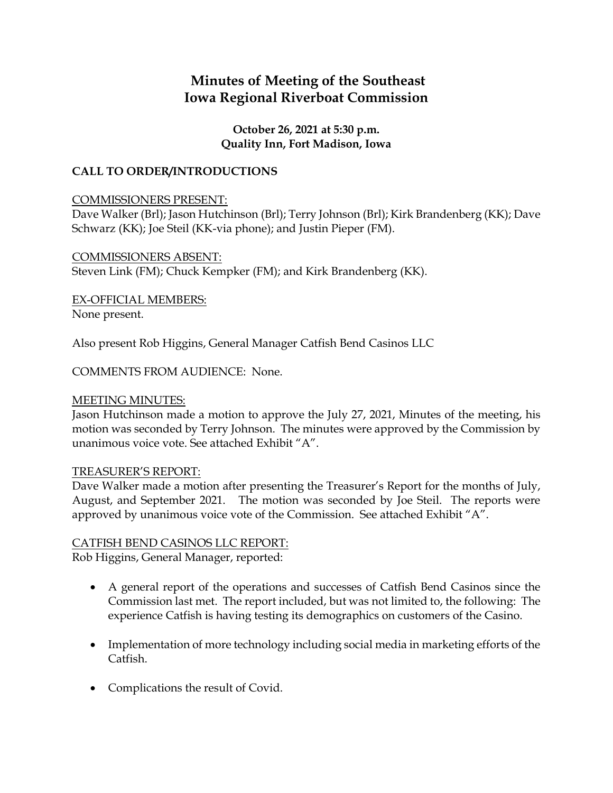# **Minutes of Meeting of the Southeast Iowa Regional Riverboat Commission**

### **October 26, 2021 at 5:30 p.m. Quality Inn, Fort Madison, Iowa**

# **CALL TO ORDER/INTRODUCTIONS**

### COMMISSIONERS PRESENT:

Dave Walker (Brl); Jason Hutchinson (Brl); Terry Johnson (Brl); Kirk Brandenberg (KK); Dave Schwarz (KK); Joe Steil (KK-via phone); and Justin Pieper (FM).

COMMISSIONERS ABSENT: Steven Link (FM); Chuck Kempker (FM); and Kirk Brandenberg (KK).

EX-OFFICIAL MEMBERS:

None present.

Also present Rob Higgins, General Manager Catfish Bend Casinos LLC

COMMENTS FROM AUDIENCE: None.

### MEETING MINUTES:

Jason Hutchinson made a motion to approve the July 27, 2021, Minutes of the meeting, his motion was seconded by Terry Johnson. The minutes were approved by the Commission by unanimous voice vote. See attached Exhibit "A".

# TREASURER'S REPORT:

Dave Walker made a motion after presenting the Treasurer's Report for the months of July, August, and September 2021. The motion was seconded by Joe Steil. The reports were approved by unanimous voice vote of the Commission. See attached Exhibit "A".

# CATFISH BEND CASINOS LLC REPORT:

Rob Higgins, General Manager, reported:

- A general report of the operations and successes of Catfish Bend Casinos since the Commission last met. The report included, but was not limited to, the following: The experience Catfish is having testing its demographics on customers of the Casino.
- Implementation of more technology including social media in marketing efforts of the Catfish.
- Complications the result of Covid.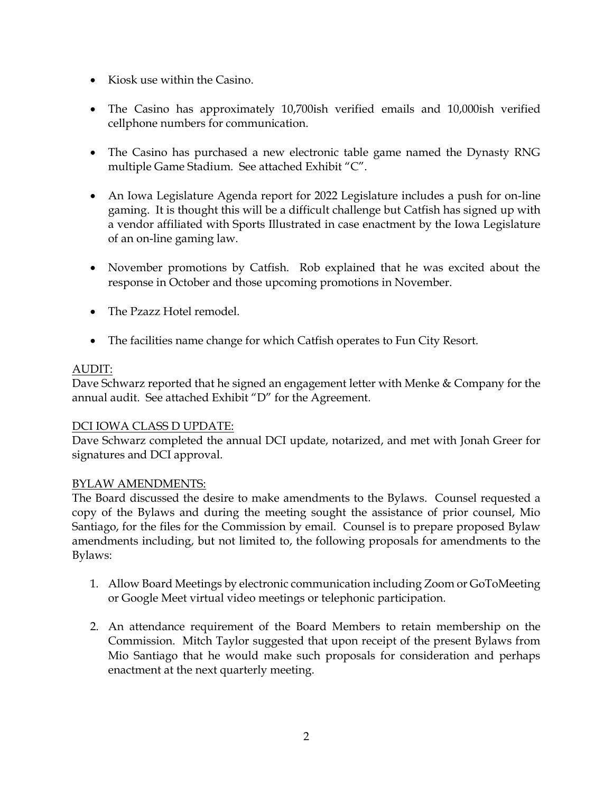- Kiosk use within the Casino.
- The Casino has approximately 10,700ish verified emails and 10,000ish verified cellphone numbers for communication.
- The Casino has purchased a new electronic table game named the Dynasty RNG multiple Game Stadium. See attached Exhibit "C".
- An Iowa Legislature Agenda report for 2022 Legislature includes a push for on-line gaming. It is thought this will be a difficult challenge but Catfish has signed up with a vendor affiliated with Sports Illustrated in case enactment by the Iowa Legislature of an on-line gaming law.
- November promotions by Catfish. Rob explained that he was excited about the response in October and those upcoming promotions in November.
- The Pzazz Hotel remodel.
- The facilities name change for which Catfish operates to Fun City Resort.

# AUDIT:

Dave Schwarz reported that he signed an engagement letter with Menke & Company for the annual audit. See attached Exhibit "D" for the Agreement.

#### DCI IOWA CLASS D UPDATE:

Dave Schwarz completed the annual DCI update, notarized, and met with Jonah Greer for signatures and DCI approval.

#### BYLAW AMENDMENTS:

The Board discussed the desire to make amendments to the Bylaws. Counsel requested a copy of the Bylaws and during the meeting sought the assistance of prior counsel, Mio Santiago, for the files for the Commission by email. Counsel is to prepare proposed Bylaw amendments including, but not limited to, the following proposals for amendments to the Bylaws:

- 1. Allow Board Meetings by electronic communication including Zoom or GoToMeeting or Google Meet virtual video meetings or telephonic participation.
- 2. An attendance requirement of the Board Members to retain membership on the Commission. Mitch Taylor suggested that upon receipt of the present Bylaws from Mio Santiago that he would make such proposals for consideration and perhaps enactment at the next quarterly meeting.